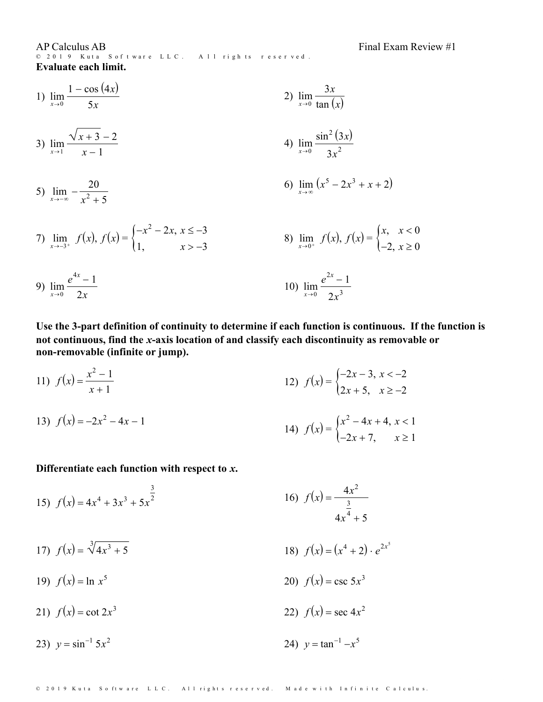AP Calculus AB<br>© 2019 Kuta Software LLC. All rights reserved. Evaluate each limit.

1) 
$$
\lim_{x \to 0} \frac{1 - \cos(4x)}{5x}
$$
  
\n2)  $\lim_{x \to 0} \frac{3x}{\tan(x)}$   
\n3)  $\lim_{x \to 1} \frac{\sqrt{x + 3} - 2}{x - 1}$   
\n4)  $\lim_{x \to 0} \frac{\sin^2(3x)}{3x^2}$   
\n5)  $\lim_{x \to -\infty} -\frac{20}{x^2 + 5}$   
\n6)  $\lim_{x \to \infty} (x^5 - 2x^3 + x + 2)$   
\n7)  $\lim_{x \to -3^+} f(x), f(x) = \begin{cases} -x^2 - 2x, & x \le -3 \\ 1, & x > -3 \end{cases}$   
\n8)  $\lim_{x \to 0^+} f(x), f(x) = \begin{cases} x, & x < 0 \\ -2, & x \ge 0 \end{cases}$ 

9) 
$$
\lim_{x \to 0} \frac{e^{4x} - 1}{2x}
$$
 10) 
$$
\lim_{x \to 0} \frac{e^{2x} - 1}{2x^3}
$$

Use the 3-part definition of continuity to determine if each function is continuous. If the function is not continuous, find the x-axis location of and classify each discontinuity as removable or non-removable (infinite or jump).

11) 
$$
f(x) = \frac{x^2 - 1}{x + 1}
$$
  
\n12)  $f(x) = \begin{cases} -2x - 3, & x < -2 \\ 2x + 5, & x \ge -2 \end{cases}$   
\n13)  $f(x) = -2x^2 - 4x - 1$   
\n14)  $f(x) = \begin{cases} x^2 - 4x + 4, & x < 1 \\ -2x + 7, & x \ge 1 \end{cases}$ 

## Differentiate each function with respect to  $x$ .

15) 
$$
f(x) = 4x^4 + 3x^3 + 5x^{\frac{3}{2}}
$$
  
16)  $f(x) = \frac{4x^2}{\frac{3}{4x^4} + 5}$ 

17) 
$$
f(x) = \sqrt[3]{4x^3 + 5}
$$
  
18)  $f(x) = (x^4 + 2) \cdot e^{2x^5}$ 

19) 
$$
f(x) = \ln x^5
$$
  
20)  $f(x) = \csc 5x^3$ 

21) 
$$
f(x) = \cot 2x^3
$$
 22)  $f(x) = \sec 4x^2$ 

23) 
$$
y = \sin^{-1} 5x^2
$$
 24)  $y = \tan^{-1} -$ 

24) 
$$
y = \tan^{-1} -x^5
$$